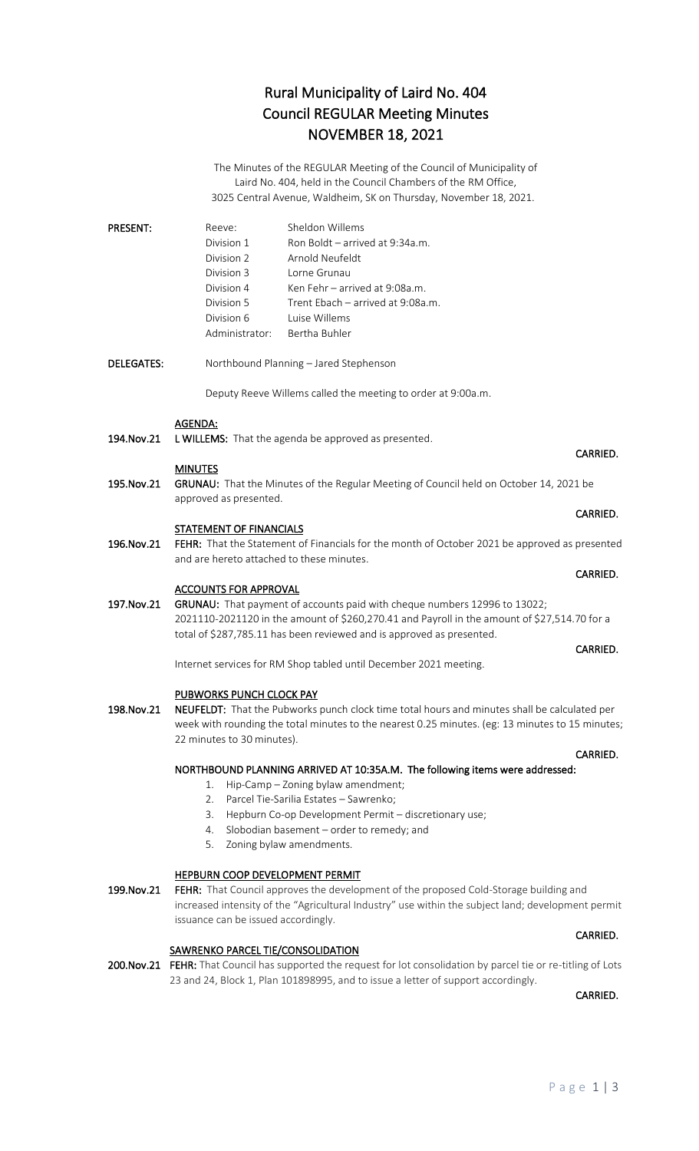### Rural Municipality of Laird No. 404 Council REGULAR Meeting Minutes NOVEMBER 18, 2021

The Minutes of the REGULAR Meeting of the Council of Municipality of Laird No. 404, held in the Council Chambers of the RM Office, 3025 Central Avenue, Waldheim, SK on Thursday, November 18, 2021.

| <b>PRESENT:</b> | Reeve:         | Sheldon Willems                   |
|-----------------|----------------|-----------------------------------|
|                 | Division 1     | Ron Boldt – arrived at 9:34a.m.   |
|                 | Division 2     | Arnold Neufeldt                   |
|                 | Division 3     | Lorne Grunau                      |
|                 | Division 4     | Ken Fehr - arrived at 9:08a.m.    |
|                 | Division 5     | Trent Ebach - arrived at 9:08a.m. |
|                 | Division 6     | Luise Willems                     |
|                 | Administrator: | Bertha Buhler                     |

DELEGATES: Northbound Planning – Jared Stephenson

Deputy Reeve Willems called the meeting to order at 9:00a.m.

#### AGENDA:

194. Nov. 21 L WILLEMS: That the agenda be approved as presented.

#### **MINUTES**

195.Nov.21 GRUNAU: That the Minutes of the Regular Meeting of Council held on October 14, 2021 be approved as presented.

#### STATEMENT OF FINANCIALS

196.Nov.21 FEHR: That the Statement of Financials for the month of October 2021 be approved as presented and are hereto attached to these minutes.

#### ACCOUNTS FOR APPROVAL

197.Nov.21 GRUNAU: That payment of accounts paid with cheque numbers 12996 to 13022; 2021110-2021120 in the amount of \$260,270.41 and Payroll in the amount of \$27,514.70 for a total of \$287,785.11 has been reviewed and is approved as presented.

Internet services for RM Shop tabled until December 2021 meeting.

#### PUBWORKS PUNCH CLOCK PAY

198.Nov.21 NEUFELDT: That the Pubworks punch clock time total hours and minutes shall be calculated per week with rounding the total minutes to the nearest 0.25 minutes. (eg: 13 minutes to 15 minutes; 22 minutes to 30 minutes).

#### NORTHBOUND PLANNING ARRIVED AT 10:35A.M. The following items were addressed:

- 1. Hip-Camp Zoning bylaw amendment;
- 2. Parcel Tie-Sarilia Estates Sawrenko;
- 3. Hepburn Co-op Development Permit discretionary use;
- 4. Slobodian basement order to remedy; and
- 5. Zoning bylaw amendments.

#### HEPBURN COOP DEVELOPMENT PERMIT

199.Nov.21 FEHR: That Council approves the development of the proposed Cold-Storage building and increased intensity of the "Agricultural Industry" use within the subject land; development permit issuance can be issued accordingly.

#### SAWRENKO PARCEL TIE/CONSOLIDATION

200.Nov.21 FEHR: That Council has supported the request for lot consolidation by parcel tie or re-titling of Lots 23 and 24, Block 1, Plan 101898995, and to issue a letter of support accordingly.

CARRIED.

## **CARRIED.** The contract of the contract of the contract of the contract of the contract of the contract of the contract of the contract of the contract of the contract of the contract of the contract of the contract of the

### CARRIED.

#### **CARRIED. CARRIED.**

#### **CARRIED.** The contract of the contract of the contract of the contract of the contract of the contract of the contract of the contract of the contract of the contract of the contract of the contract of the contract of the

#### CARRIED.

#### CARRIED.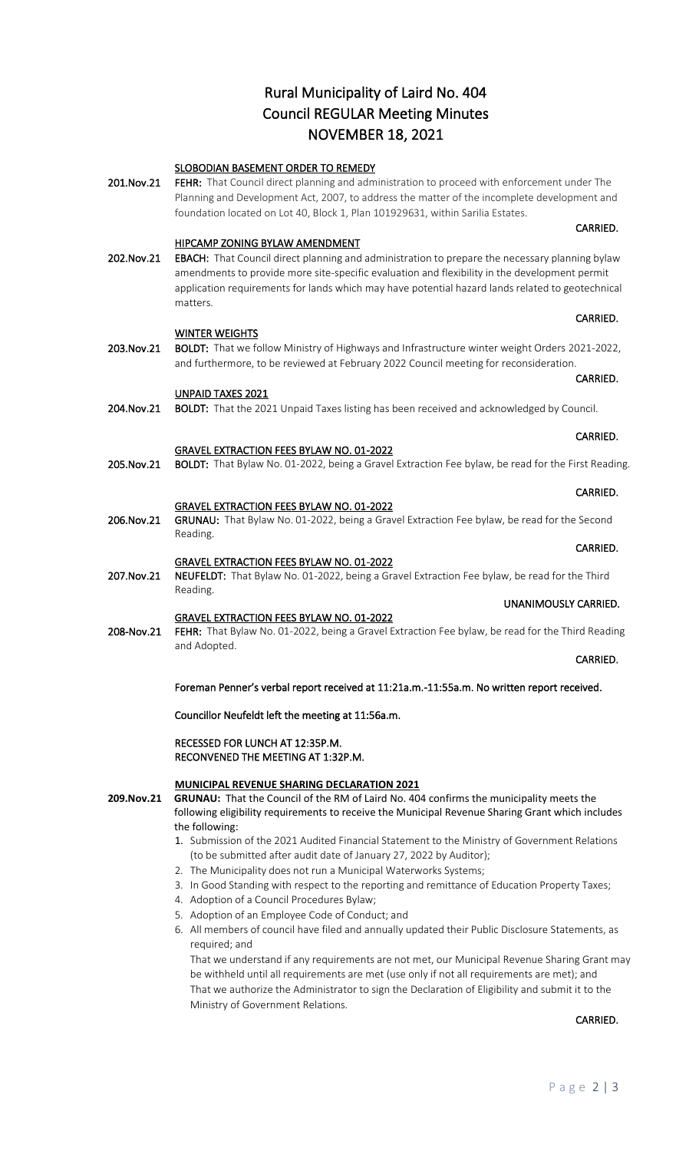## Rural Municipality of Laird No. 404 Council REGULAR Meeting Minutes NOVEMBER 18, 2021

### SLOBODIAN BASEMENT ORDER TO REMEDY

201.Nov.21 FEHR: That Council direct planning and administration to proceed with enforcement under The Planning and Development Act, 2007, to address the matter of the incomplete development and foundation located on Lot 40, Block 1, Plan 101929631, within Sarilia Estates.

**CARRIED.** The contract of the contract of the contract of the contract of the contract of the contract of the contract of the contract of the contract of the contract of the contract of the contract of the contract of the

#### HIPCAMP ZONING BYLAW AMENDMENT

202.Nov.21 EBACH: That Council direct planning and administration to prepare the necessary planning bylaw amendments to provide more site-specific evaluation and flexibility in the development permit application requirements for lands which may have potential hazard lands related to geotechnical matters.

#### WINTER WEIGHTS

203.Nov.21 BOLDT: That we follow Ministry of Highways and Infrastructure winter weight Orders 2021-2022, and furthermore, to be reviewed at February 2022 Council meeting for reconsideration.

**CARRIED. CARRIED.** 

**CARRIED.** The contract of the contract of the contract of the contract of the contract of the contract of the contract of the contract of the contract of the contract of the contract of the contract of the contract of the

#### UNPAID TAXES 2021

204.Nov.21 BOLDT: That the 2021 Unpaid Taxes listing has been received and acknowledged by Council.

#### GRAVEL EXTRACTION FEES BYLAW NO. 01-2022

205.Nov.21 BOLDT: That Bylaw No. 01-2022, being a Gravel Extraction Fee bylaw, be read for the First Reading.

**CARRIED.** The contract of the contract of the contract of the contract of the contract of the contract of the contract of the contract of the contract of the contract of the contract of the contract of the contract of the

#### GRAVEL EXTRACTION FEES BYLAW NO. 01-2022

- 206.Nov.21 GRUNAU: That Bylaw No. 01-2022, being a Gravel Extraction Fee bylaw, be read for the Second Reading.
- **CARRIED.** The contract of the contract of the contract of the contract of the contract of the contract of the contract of the contract of the contract of the contract of the contract of the contract of the contract of the GRAVEL EXTRACTION FEES BYLAW NO. 01-2022 207.Nov.21 NEUFELDT: That Bylaw No. 01-2022, being a Gravel Extraction Fee bylaw, be read for the Third
- Reading. UNANIMOUSLY CARRIED.

#### GRAVEL EXTRACTION FEES BYLAW NO. 01-2022

208-Nov.21 FEHR: That Bylaw No. 01-2022, being a Gravel Extraction Fee bylaw, be read for the Third Reading and Adopted.

#### **CARRIED.** The contract of the contract of the contract of the contract of the contract of the contract of the contract of the contract of the contract of the contract of the contract of the contract of the contract of the

CARRIED.

Foreman Penner's verbal report received at 11:21a.m.-11:55a.m. No written report received.

Councillor Neufeldt left the meeting at 11:56a.m.

#### RECESSED FOR LUNCH AT 12:35P.M. RECONVENED THE MEETING AT 1:32P.M.

#### **MUNICIPAL REVENUE SHARING DECLARATION 2021**

**209.Nov.21 GRUNAU:** That the Council of the RM of Laird No. 404 confirms the municipality meets the following eligibility requirements to receive the Municipal Revenue Sharing Grant which includes the following:

- 1. Submission of the 2021 Audited Financial Statement to the Ministry of Government Relations (to be submitted after audit date of January 27, 2022 by Auditor);
- 2. The Municipality does not run a Municipal Waterworks Systems;
- 3. In Good Standing with respect to the reporting and remittance of Education Property Taxes;
- 4. Adoption of a Council Procedures Bylaw;
- 5. Adoption of an Employee Code of Conduct; and
- 6. All members of council have filed and annually updated their Public Disclosure Statements, as required; and

That we understand if any requirements are not met, our Municipal Revenue Sharing Grant may be withheld until all requirements are met (use only if not all requirements are met); and That we authorize the Administrator to sign the Declaration of Eligibility and submit it to the Ministry of Government Relations.

CARRIED.